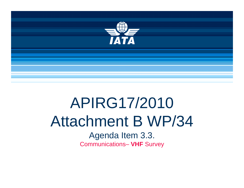

## APIRG17/2010 Attachment B WP/34

Agenda Item 3.3. Communications– **VHF** Survey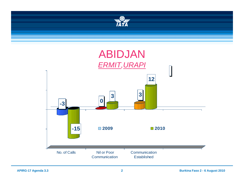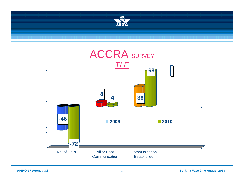

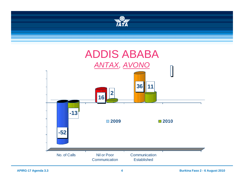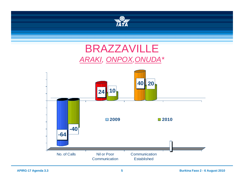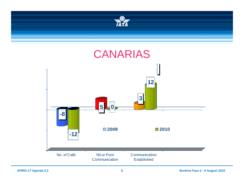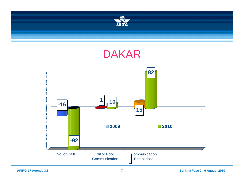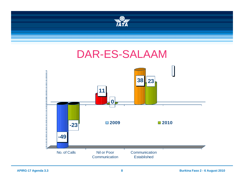

## DAR-ES-SALAAM

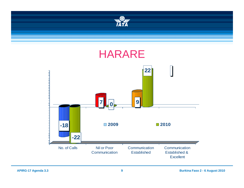

No. of Calls

Communication

**Excellent** 

Communication **Established** 

Established &

**Nil or Poor** Communication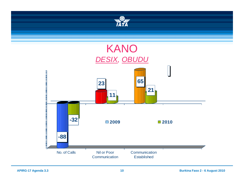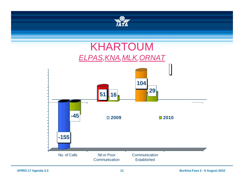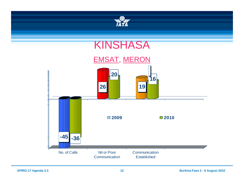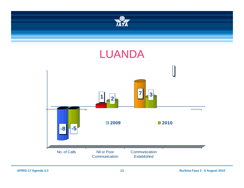

No. of Calls s **Nil or Poor** Communication

Established

Communication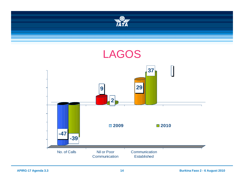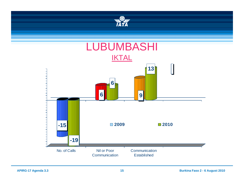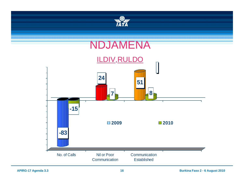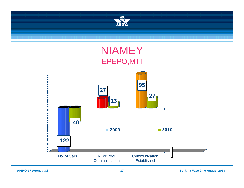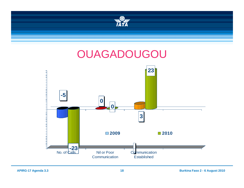

Established

Communication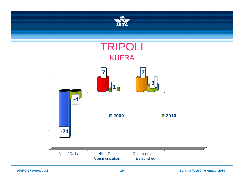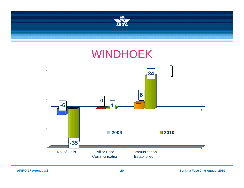

## WINDHOEK